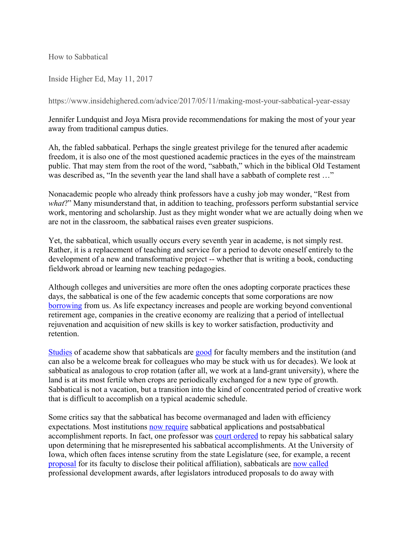How to Sabbatical

Inside Higher Ed, May 11, 2017

https://www.insidehighered.com/advice/2017/05/11/making-most-your-sabbatical-year-essay

Jennifer Lundquist and Joya Misra provide recommendations for making the most of your year away from traditional campus duties.

Ah, the fabled sabbatical. Perhaps the single greatest privilege for the tenured after academic freedom, it is also one of the most questioned academic practices in the eyes of the mainstream public. That may stem from the root of the word, "sabbath," which in the biblical Old Testament was described as, "In the seventh year the land shall have a sabbath of complete rest ..."

Nonacademic people who already think professors have a cushy job may wonder, "Rest from *what*?" Many misunderstand that, in addition to teaching, professors perform substantial service work, mentoring and scholarship. Just as they might wonder what we are actually doing when we are not in the classroom, the sabbatical raises even greater suspicions.

Yet, the sabbatical, which usually occurs every seventh year in academe, is not simply rest. Rather, it is a replacement of teaching and service for a period to devote oneself entirely to the development of a new and transformative project -- whether that is writing a book, conducting fieldwork abroad or learning new teaching pedagogies.

Although colleges and universities are more often the ones adopting corporate practices these days, the sabbatical is one of the few academic concepts that some corporations are now borrowing from us. As life expectancy increases and people are working beyond conventional retirement age, companies in the creative economy are realizing that a period of intellectual rejuvenation and acquisition of new skills is key to worker satisfaction, productivity and retention.

Studies of academe show that sabbaticals are good for faculty members and the institution (and can also be a welcome break for colleagues who may be stuck with us for decades). We look at sabbatical as analogous to crop rotation (after all, we work at a land-grant university), where the land is at its most fertile when crops are periodically exchanged for a new type of growth. Sabbatical is not a vacation, but a transition into the kind of concentrated period of creative work that is difficult to accomplish on a typical academic schedule.

Some critics say that the sabbatical has become overmanaged and laden with efficiency expectations. Most institutions now require sabbatical applications and postsabbatical accomplishment reports. In fact, one professor was court ordered to repay his sabbatical salary upon determining that he misrepresented his sabbatical accomplishments. At the University of Iowa, which often faces intense scrutiny from the state Legislature (see, for example, a recent proposal for its faculty to disclose their political affiliation), sabbaticals are now called professional development awards, after legislators introduced proposals to do away with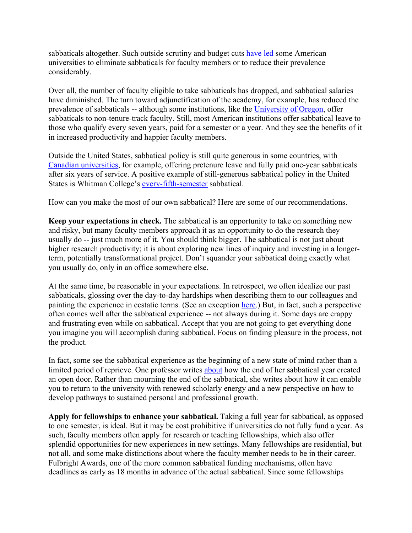sabbaticals altogether. Such outside scrutiny and budget cuts have led some American universities to eliminate sabbaticals for faculty members or to reduce their prevalence considerably.

Over all, the number of faculty eligible to take sabbaticals has dropped, and sabbatical salaries have diminished. The turn toward adjunctification of the academy, for example, has reduced the prevalence of sabbaticals -- although some institutions, like the University of Oregon, offer sabbaticals to non-tenure-track faculty. Still, most American institutions offer sabbatical leave to those who qualify every seven years, paid for a semester or a year. And they see the benefits of it in increased productivity and happier faculty members.

Outside the United States, sabbatical policy is still quite generous in some countries, with Canadian universities, for example, offering pretenure leave and fully paid one-year sabbaticals after six years of service. A positive example of still-generous sabbatical policy in the United States is Whitman College's every-fifth-semester sabbatical.

How can you make the most of our own sabbatical? Here are some of our recommendations.

**Keep your expectations in check.** The sabbatical is an opportunity to take on something new and risky, but many faculty members approach it as an opportunity to do the research they usually do -- just much more of it. You should think bigger. The sabbatical is not just about higher research productivity; it is about exploring new lines of inquiry and investing in a longerterm, potentially transformational project. Don't squander your sabbatical doing exactly what you usually do, only in an office somewhere else.

At the same time, be reasonable in your expectations. In retrospect, we often idealize our past sabbaticals, glossing over the day-to-day hardships when describing them to our colleagues and painting the experience in ecstatic terms. (See an exception here.) But, in fact, such a perspective often comes well after the sabbatical experience -- not always during it. Some days are crappy and frustrating even while on sabbatical. Accept that you are not going to get everything done you imagine you will accomplish during sabbatical. Focus on finding pleasure in the process, not the product.

In fact, some see the sabbatical experience as the beginning of a new state of mind rather than a limited period of reprieve. One professor writes about how the end of her sabbatical year created an open door. Rather than mourning the end of the sabbatical, she writes about how it can enable you to return to the university with renewed scholarly energy and a new perspective on how to develop pathways to sustained personal and professional growth.

**Apply for fellowships to enhance your sabbatical.** Taking a full year for sabbatical, as opposed to one semester, is ideal. But it may be cost prohibitive if universities do not fully fund a year. As such, faculty members often apply for research or teaching fellowships, which also offer splendid opportunities for new experiences in new settings. Many fellowships are residential, but not all, and some make distinctions about where the faculty member needs to be in their career. Fulbright Awards, one of the more common sabbatical funding mechanisms, often have deadlines as early as 18 months in advance of the actual sabbatical. Since some fellowships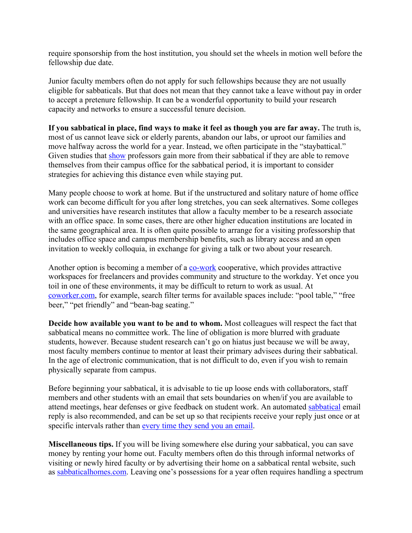require sponsorship from the host institution, you should set the wheels in motion well before the fellowship due date.

Junior faculty members often do not apply for such fellowships because they are not usually eligible for sabbaticals. But that does not mean that they cannot take a leave without pay in order to accept a pretenure fellowship. It can be a wonderful opportunity to build your research capacity and networks to ensure a successful tenure decision.

**If you sabbatical in place, find ways to make it feel as though you are far away.** The truth is, most of us cannot leave sick or elderly parents, abandon our labs, or uproot our families and move halfway across the world for a year. Instead, we often participate in the "staybattical." Given studies that show professors gain more from their sabbatical if they are able to remove themselves from their campus office for the sabbatical period, it is important to consider strategies for achieving this distance even while staying put.

Many people choose to work at home. But if the unstructured and solitary nature of home office work can become difficult for you after long stretches, you can seek alternatives. Some colleges and universities have research institutes that allow a faculty member to be a research associate with an office space. In some cases, there are other higher education institutions are located in the same geographical area. It is often quite possible to arrange for a visiting professorship that includes office space and campus membership benefits, such as library access and an open invitation to weekly colloquia, in exchange for giving a talk or two about your research.

Another option is becoming a member of a co-work cooperative, which provides attractive workspaces for freelancers and provides community and structure to the workday. Yet once you toil in one of these environments, it may be difficult to return to work as usual. At coworker.com, for example, search filter terms for available spaces include: "pool table," "free beer," "pet friendly" and "bean-bag seating."

**Decide how available you want to be and to whom.** Most colleagues will respect the fact that sabbatical means no committee work. The line of obligation is more blurred with graduate students, however. Because student research can't go on hiatus just because we will be away, most faculty members continue to mentor at least their primary advisees during their sabbatical. In the age of electronic communication, that is not difficult to do, even if you wish to remain physically separate from campus.

Before beginning your sabbatical, it is advisable to tie up loose ends with collaborators, staff members and other students with an email that sets boundaries on when/if you are available to attend meetings, hear defenses or give feedback on student work. An automated sabbatical email reply is also recommended, and can be set up so that recipients receive your reply just once or at specific intervals rather than every time they send you an email.

**Miscellaneous tips.** If you will be living somewhere else during your sabbatical, you can save money by renting your home out. Faculty members often do this through informal networks of visiting or newly hired faculty or by advertising their home on a sabbatical rental website, such as sabbaticalhomes.com. Leaving one's possessions for a year often requires handling a spectrum